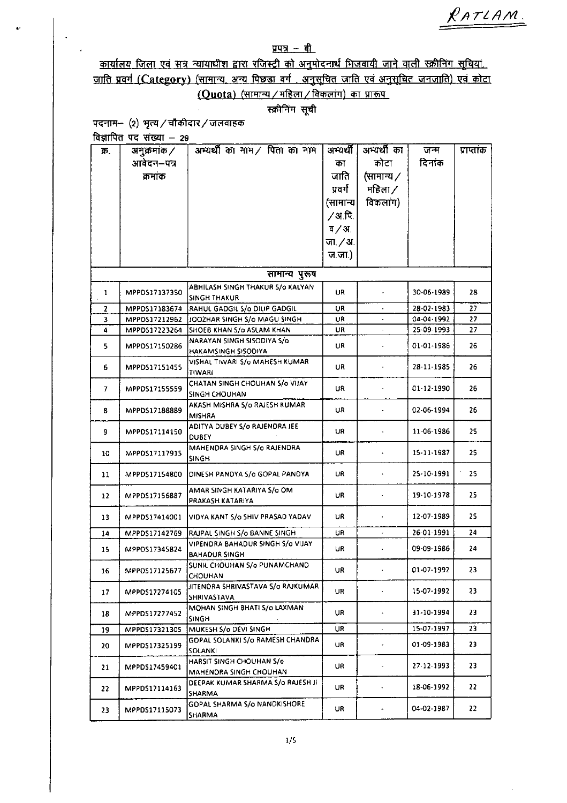RATLAM.

## $\frac{1}{2}$  $\frac{1}{2}$

<u>कार्यालय जिला एवं सत्र न्यायाधीश द्वारा रजिस्ट्री को अनुमोदनार्थ भिजवायी जाने वाली स्क्रीनिंग</u> <u>रायस्तर स्वर्गा राजकार कार्यालय क्षेत्र कार्य कार्य कार्य कार्य कार्यालय कार्यालय कार्याल</u>े एवं कोटा<br>जाति प्रवर्ग (Category) (सामान्य, अन्य पिछडा वर्ग . अनुसूचित जाति एवं अनुसूचित जनजाति) एवं कोटा  $(Quota)$  (सामान्य / महिला / विकलांग) का प्रारूप

स्क्रीनिंग सूची

पदनाम- $(2)$  भृत्य / चौकीदार / जलवाहक

विज्ञापित पद संख्या  $-$  29

| क्र. | अनुक्रमांक /  | अभ्यर्थी का नाम / पिता का नाम                   | अभ्यर्थी      | अभ्यर्थी का              | जन्म             | प्राप्ताक |
|------|---------------|-------------------------------------------------|---------------|--------------------------|------------------|-----------|
|      | आवेदन–पत्र    |                                                 | का            | कोटा                     | दिनाक            |           |
|      | क्रमाक        |                                                 | जाति          | (सामान्य /               |                  |           |
|      |               |                                                 | प्रवर्ग       | महिला ⁄                  |                  |           |
|      |               |                                                 | (सामान्य      | विकलांग)                 |                  |           |
|      |               |                                                 | 7अ.पि.        |                          |                  |           |
|      |               |                                                 | $\frac{1}{4}$ |                          |                  |           |
|      |               |                                                 |               |                          |                  |           |
|      |               |                                                 | जा. / अ.      |                          |                  |           |
|      |               |                                                 | ज.जा.)        |                          |                  |           |
|      |               | सामान्य पुरूष                                   |               |                          |                  |           |
| 1    | MPPDS17137350 | ABHILASH SINGH THAKUR S/o KALYAN                | UR            |                          | 30-06-1989       | 28        |
|      |               | <b>SINGH THAKUR</b>                             |               |                          |                  |           |
| 2    | MPPD517183674 | RAHUL GADGIL S/o DILIP GADGIL                   | UR            |                          | 28-02-1983       | 27        |
| 3    | MPPDS17212962 | JOOZHAR SINGH S/o MAGU SINGH                    | UR            |                          | 04-04-1992       | 27        |
| 4    | MPPDS17223264 | SHOEB KHAN S/o ASLAM KHAN                       | UR            |                          | 25-09-1993       | 27        |
| 5    | MPPDS17150286 | NARAYAN SINGH SISODIYA S/o                      | UR            |                          | 01-01-1986       | 26.       |
|      |               | <b>HAKAMSINGH SISODIYA</b>                      |               |                          |                  |           |
| 6    | MPPDS17151455 | VISHAL TIWARI S/o MAHESH KUMAR<br><b>TIWARI</b> | UR            |                          | 28-11-1985       | 26        |
|      |               | CHATAN SINGH CHOUHAN S/o VIJAY                  |               |                          |                  |           |
| 7    | MPPDS17155559 | <b>SINGH CHOUHAN</b>                            | UR            |                          | 01-12-1990       | 26        |
|      |               | AKASH MISHRA S/o RAJESH KUMAR                   |               |                          |                  |           |
| 8    | MPPDS17188889 | <b>MISHRA</b>                                   | UR            |                          | 02-06-1994       | 26.       |
|      |               | ADITYA DUBEY S/o RAJENDRA JEE                   |               |                          |                  |           |
| 9    | MPPDS17114150 | <b>DUBEY</b>                                    | UR            |                          | 11-06-1986       | 25.       |
|      |               | MAHENDRA SINGH S/o RAJENDRA                     |               |                          |                  | 25        |
| 10   | MPPDS17117915 | SINGH                                           | UR            |                          | $15 - 11 - 1987$ |           |
| 11   | MPPD517154800 | DINESH PANDYA S/o GOPAL PANDYA                  | UR            |                          | 25-10-1991       | 25        |
|      |               |                                                 |               |                          |                  |           |
| 12   | MPPDS17156887 | AMAR SINGH KATARIYA S/o OM                      | UR            |                          | 19-10-1978       | 25.       |
|      |               | PRAKASH KATARIYA                                |               |                          |                  |           |
| 13   | MPPDS17414001 | VIDYA KANT S/o SHIV PRASAD YADAV                | UR            |                          | 12-07-1989       | 25.       |
| 14   | MPPDS17142769 | RAJPAL SINGH S/o BANNE SINGH                    | UR            | $\overline{\phantom{a}}$ | 26-01-1991       | 24        |
|      |               | VIPENDRA BAHADUR SINGH S/o VIJAY                |               |                          |                  |           |
| 15   | MPPDS17345824 | <b>BAHADUR SINGH</b>                            | UR            |                          | 09-09-1986       | 24        |
|      |               | SUNIL CHOUHAN S/o PUNAMCHAND                    |               |                          |                  |           |
| 16   | MPPDS17125677 | CHOUHAN                                         | UR            | $\bullet$                | 01-07-1992       | 23.       |
|      |               | JITENDRA SHRIVASTAVA S/o RAJKUMAR               |               | ÷                        | 15-07-1992       |           |
| 17   | MPPDS17274105 | SHRIVASTAVA                                     | UR            |                          |                  | 23        |
|      | MPPDS17277452 | MOHAN SINGH BHATI S/o LAXMAN                    | UR            | $\bullet$                | 31-10-1994       | 23        |
| 18   |               | <b>SINGH</b>                                    |               |                          |                  |           |
| 19   | MPPDS17321305 | MUKESH S/o DEVI SINGH                           | UR            | $\epsilon$               | 15-07-1997       | 23        |
| 20   | MPPD517325199 | GOPAL SOLANKI S/o RAMESH CHANDRA                | UR            | $\overline{\phantom{a}}$ | 01-09-1983       | 23        |
|      |               | SOLANKI                                         |               |                          |                  |           |
| 21   | MPPDS17459401 | HARSIT SINGH CHOUHAN S/o                        | UR            | $\overline{\phantom{a}}$ | 27-12-1993       | 23        |
|      |               | MAHENDRA SINGH CHOUHAN                          |               |                          |                  |           |
| 22.  | MPPDS17114163 | DEEPAK KUMAR SHARMA S/o RAJESH JF               | UR            | ۰                        | 18-06-1992       | 22        |
|      |               | SHARMA<br><b>GOPAL SHARMA S/o NANOKISHORE</b>   |               |                          |                  |           |
| 23   | MPPDS17115073 | <b>SHARMA</b>                                   | UR            |                          | 04-02-1987       | 22.       |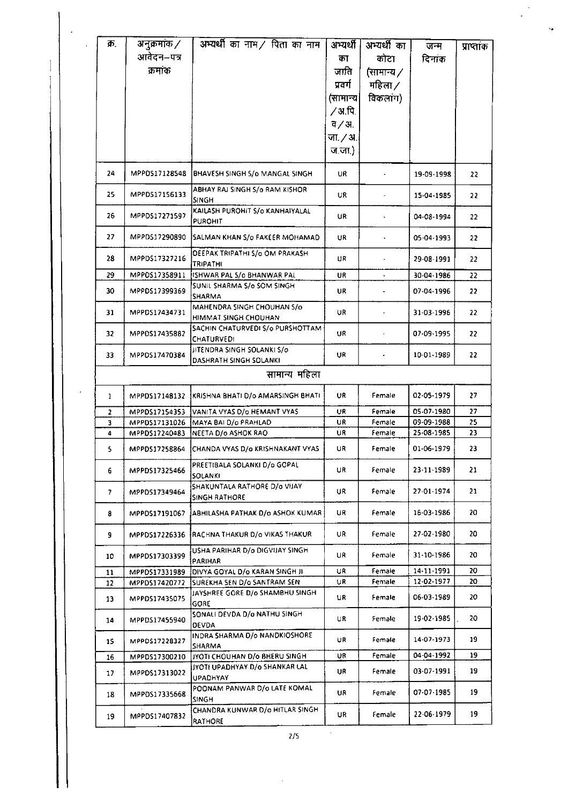| क्र. | अनुक्रमांक ⁄   | अभ्यर्थी का नाम $\angle$ पिता का नाम                             | अभ्यर्थी           | अभ्यर्थी का          | जन्म                     | प्राप्ताक |
|------|----------------|------------------------------------------------------------------|--------------------|----------------------|--------------------------|-----------|
|      | आवेदन–पत्र     |                                                                  | का                 | कोटा                 | दिनाक                    |           |
|      | क्रमांक        |                                                                  | जाति               | (सामान्य ∕           |                          |           |
|      |                |                                                                  | प्रवर्ग            | महिला $\angle$       |                          |           |
|      |                |                                                                  | (सामान्य           | विकलांग)             |                          |           |
|      |                |                                                                  | 7अ.पि.             |                      |                          |           |
|      |                |                                                                  | $\frac{1}{4}$ / अ. |                      |                          |           |
|      |                |                                                                  | जा. / अ.           |                      |                          |           |
|      |                |                                                                  | ज.जा.)             |                      |                          |           |
|      |                |                                                                  |                    |                      |                          |           |
| 24   | MPPD517128548  | BHAVESH SINGH S/o MANGAL SINGH                                   | UR                 |                      | 19-09-1998               | 22        |
| 25   | MPPDS17156133  | ABHAY RAI SINGH S/o RAM KISHOR<br>SINGH                          | UR                 | $\blacksquare$       | 15-04-1985               | 22        |
| 26   | MPPDS17271597  | KAILASH PUROHIT S/0 KANHAIYALAL<br><b>PUROHIT</b>                | UR                 | $\bullet$            | 04-08-1994               | 22        |
| 27   | MPPDS17290890  | SALMAN KHAN S/o FAKEER MOHAMAD                                   | UR                 |                      | 05-04-1993               | 22        |
| 28   | MPPDS17327216  | DEEPAK TRIPATHI S/o OM PRAKASH<br><b>TRIPATHI</b>                | UR                 |                      | 29-08-1991               | 22        |
| 29   | MPPOS17358911  | ISHWAR PAL 5/0 BHANWAR PAL                                       | UR                 | $\bullet$            | 30-04-1986               | 22        |
| 30   | MPPDS17399369  | SUNIL SHARMA S/o SOM SINGH<br><b>SHARMA</b>                      | UR                 |                      | 07-04-1996               | 22        |
| 31   | MPPDS17434731  | MAHENDRA SINGH CHOUHAN S/o<br>HIMMAT SINGH CHOUHAN               | UR                 |                      | 31-03-1996               | 22        |
| 32   | MPPOS17435882  | SACHIN CHATURVEDI S/o PURSHOTTAM<br><b>CHATURVEDI</b>            | UR                 | $\ddot{\phantom{0}}$ | 07-09-1995               | 22        |
| 33   | MPPDS17470384  | JITENDRA SINGH SOLANKI S/o<br>DASHRATH SINGH SOLANKI             | UR                 |                      | 10-01-1989               | 22.       |
|      |                | सामान्य महिला                                                    |                    |                      |                          |           |
| 1    | MPPDS17148132  | KRISHNA BHATI D/o AMARSINGH BHATI                                | UR                 | Female               | 02-05-1979               | 27        |
| 2    | MPPDS17154353  | VANITA VYAS D/o HEMANT VYAS                                      | UR                 | Female               | 05-07-1980               | 27        |
| 3    | MPPDS17131026  | MAYA BAI D/o PRAHLAD                                             | UR                 | Female               | 09-09-1988<br>25-08-1985 | 25<br>23  |
| 4    | MPPDS17240483  | NEETA D/o ASHOK RAO                                              | UR                 | Female               |                          |           |
| 5    | MPPD517258864  | CHANDA VYAS D/o KRISHNAKANT VYAS<br>PREETIBALA SOLANKI D/o GOPAL | UR                 | Female               | 01-06-1979               | 23        |
| 6    | MPPDS17325466  | SOLANKI<br>SHAKUNTALA RATHORE D/o VIJAY                          | UR                 | Female               | 23-11-1989               | 21        |
| 7    | MPPDS17349464  | SINGH RATHORE                                                    | UR                 | Female               | 27-01-1974               | 21.       |
| 8    | MPPD\$17191067 | ABHILASHA PATHAK D/o ASHOK KUMAR                                 | UR                 | Female               | 16-03-1986               | 20        |
| 9    | MPPDS17226336  | RACHNA THAKUR D/o VIKAS THAKUR                                   | UR                 | Female               | 27-02-1980               | 20        |
| 10   | MPPDS17303399  | USHA PARIHAR D/o DIGVIJAY SINGH<br>PARIHAR                       | UR                 | Female               | 31-10-1986               | 20        |
| 11   | MPPDS17331989  | DIVYA GOYAL D/o KARAN SINGH JI                                   | UR                 | Female               | $14 - 11 - 1991$         | 20        |
| 12   | MPPDS17420772  | SUREKHA SEN D/o SANTRAM SEN<br>JAYSHREE GORE D/o SHAMBHU SINGH   | UR                 | Female               | 12-02-1977               | 20        |
| 13   | MPPDS17435075  | GORE                                                             | UR                 | Female               | 06-03-1989               | 20        |
| 14   | MPPDS17455940  | SONALI DEVDA D/o NATHU SINGH<br><b>DEVDA</b>                     | UR                 | Female               | 19-02-1985               | 20        |
| 15   | MPPDS17228327  | INDRA SHARMA D/o NANDKIOSHORE<br>SHARMA                          | UR                 | Female               | 14-07-1973               | 19        |
| 16   | MPPDS17300210  | JYOTI CHOUHAN D/o BHERU SINGH<br>JYOTI UPADHYAY D/o SHANKAR LAL  | UR.                | Female               | 04-04-1992               | 19        |
| 17   | MPPDS17313022  | UPADHYAY                                                         | UR                 | Female               | 03-07-1991               | 19        |
| 18   | MPPDS17335668  | POONAM PANWAR D/o LATE KOMAL<br><b>SINGH</b>                     | UR                 | Female               | 07-07-1985               | 19        |
| 19   | MPPDS17407832  | CHANDRA KUNWAR D/o HITLAR SINGH<br>RATHORE                       | UR                 | Female               | 22-06-1979               | 19        |

ų,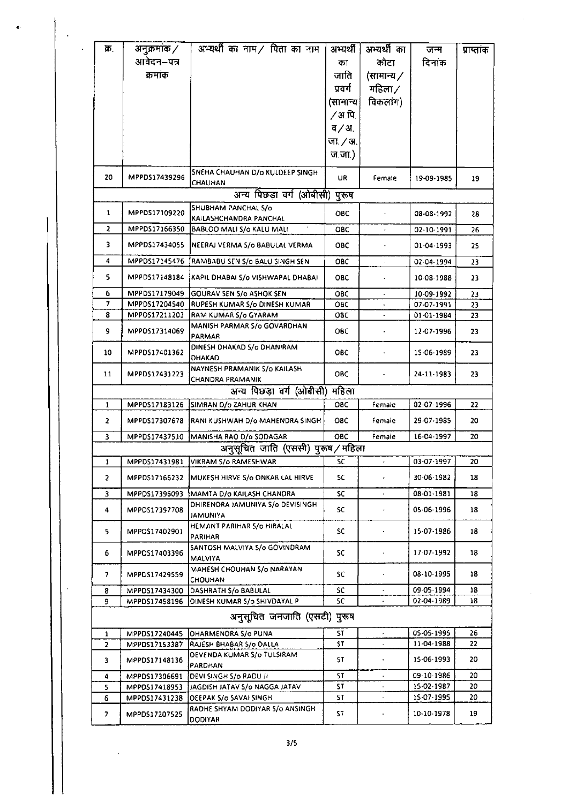| क.             | अनुक्रमांक /  | अभ्यर्थी का नाम / पिता का नाम                             | अभ्यर्थी              | अभ्यर्थी का              | जन्म       | प्राप्ताक |
|----------------|---------------|-----------------------------------------------------------|-----------------------|--------------------------|------------|-----------|
|                | आवेदन–पत्र    |                                                           | का                    | कोटा                     | दिनाक      |           |
|                | क्रमांक       |                                                           | जाति                  | (सामान्य /               |            |           |
|                |               |                                                           | प्रवर्ग               | महिला ⁄                  |            |           |
|                |               |                                                           | (सामान्य              | विकलांग)                 |            |           |
|                |               |                                                           | ∕ अ.पि.               |                          |            |           |
|                |               |                                                           | 7/31                  |                          |            |           |
|                |               |                                                           | जा $/3$ .             |                          |            |           |
|                |               |                                                           | $\overline{u}$ , जा.) |                          |            |           |
|                |               |                                                           |                       |                          |            |           |
| 20             | MPPDS17439296 | SNEHA CHAUHAN D/o KULDEEP SINGH<br>CHAUHAN                | UR                    | Female                   | 19-09-1985 | 19        |
|                |               | अन्य पिछड़ा वर्ग (ओबीसी)                                  | पुरूष                 |                          |            |           |
| $\mathbf{1}$   | MPPDS17109220 | SHUBHAM PANCHAL S/o                                       | ОВС                   |                          | 08-08-1992 | 28        |
|                |               | KAILASHCHANDRA PANCHAL                                    |                       |                          |            |           |
| 2              | MPPDS17166350 | BABLOO MALI S/o KALU MALI                                 | ОВС                   |                          | 02-10-1991 | 26        |
| 3              | MPPDS17434055 | NEERAJ VERMA S/o BABULAL VERMA                            | ОВС                   |                          | 01-04-1993 | 25        |
| 4              | MPPDS17145476 | RAMBABU SEN S/o BALU SINGH SEN                            | овс                   | $\hat{\mathbf{r}}$       | 02-04-1994 | 23        |
| 5              | MPPD517148184 | KAPIL DHABAI S/o VISHWAPAL DHABAI                         | ОВС                   |                          | 10-08-1988 | 23.       |
| 6              | MPPDS17179049 | GOURAV SEN S/o ASHOK SEN                                  | овс                   |                          | 10-09-1992 | 23        |
| 7              | MPPDS17204540 | RUPESH KUMAR S/o DINESH KUMAR                             | овс                   |                          | 07-07-1991 | 23        |
| 8              | MPP0517211203 | RAM KUMAR S/o GYARAM                                      | овс                   |                          | 01-01-1984 | 23        |
| 9              | MPPOS17314069 | MANISH PARMAR S/o GOVARDHAN                               | овс                   |                          | 12-07-1996 | 23        |
|                |               | PARMAR<br>DINESH DHAKAD S/o DHANIRAM                      |                       |                          |            |           |
| 10             | MPPDS17401362 | DHAKAD                                                    | ОВС                   |                          | 15-06-1989 | 23        |
|                |               | NAYNESH PRAMANIK 5/0 KAILASH                              |                       |                          |            |           |
| 11             | MPPDS17431223 | <b>CHANDRA PRAMANIK</b>                                   | OBC                   |                          | 24-11-1983 | 23        |
|                |               | अन्य पिछडा वर्ग (ओबीसी)                                   | महिला                 |                          |            |           |
| 1              | MPPDS17183126 | SIMRAN D/o ZAHUR KHAN                                     | ОВС                   | Female                   | 02-07-1996 | 22        |
| 2              | MPPD517307678 | RANI KUSHWAH D/o MAHENDRA SINGH                           | ОВС                   | Female                   | 29-07-1985 | 20        |
| 3              | MPPDS17437510 | MANISHA RAO D/o SODAGAR                                   | <b>OBC</b>            | Female                   | 16-04-1997 | 20        |
|                |               | अनुसूचित जाति (एससी) पुरूष / महिला                        |                       |                          |            |           |
| 1              | MPPDS17431981 | VIKRAM S/o RAMESHWAR                                      | SC                    | $\star$                  | 03-07-1997 | 20        |
| $\overline{2}$ | MPPDS17166232 | MUKESH HIRVE S/o ONKAR LAL HIRVE                          | SC.                   | $\bullet$                | 30-06-1982 | 18        |
| 3              | MPPDS17396093 | MAMTA D/o KAILASH CHANORA                                 | sc                    | $\blacksquare$           | 08-01-1981 | 18        |
|                |               | DHIRENDRA JAMUNIYA S/o DEVISINGH                          |                       |                          |            |           |
| 4              | MPPDS17397708 | <b>JAMUNIYA</b>                                           | sc                    |                          | 05-06-1996 | 18        |
| 5.             | MPPDS17402901 | HEMANT PARIHAR 5/0 HIRALAL                                | sc                    |                          | 15-07-1986 | 18        |
|                |               | PARIHAR                                                   |                       |                          |            |           |
| 6              | MPPD517403396 | SANTOSH MALVIYA S/o GOVINDRAM<br><b>MALVIYA</b>           | SC                    |                          | 17-07-1992 | 18        |
| 7              | MPPDS17429559 | MAHESH CHOUHAN S/o NARAYAN                                | SC                    |                          | 08-10-1995 | 18        |
| 8              | MPPDS17434300 | CHOUHAN<br>DASHRATH S/o BABULAL                           | sc                    | $\overline{\phantom{a}}$ | 09-05-1994 | 18        |
| 9              | MPPDS17458196 | DINESH KUMAR S/o SHIVDAYAL P                              | 5C.                   |                          | 02 04 1989 | 18        |
|                |               | अनुसूचित जनजाति (एसटी) पुरूष                              |                       |                          |            |           |
| 1              | MPPDS17240445 | <b>DHARMENORA S/o PUNA</b>                                | SТ                    | ÷                        | 05-05-1995 | 26.       |
| 2              | MPPDS17153387 | RAJESH BHABAR S/o DALLA                                   | SΤ                    | $\blacksquare$           | 11-04-1988 | 22        |
|                |               | DEVENDA KUMAR S/o TULSIRAM                                |                       |                          |            |           |
| 3              | MPPDS17148136 | PARDHAN                                                   | SΤ                    |                          | 15-06-1993 | 20        |
| 4              | MPPDS17306691 | DEVI SINGH S/o RADU JI]                                   | ST                    |                          | 09-10-1986 | 20        |
| 5              | MPPDS17418953 | JAGDISH JATAV S/o NAGGA JATAV                             | SТ                    |                          | 15.02.1987 | 20        |
| 6              | MPPD517431238 | DEEPAK S/o SAVAI SINGH<br>RADHE SHYAM DODIYAR S/0 ANSINGH | SΤ                    |                          | 15-07-1995 | 20        |
| 7              | MPPDS17207525 | <b>DODIYAR</b>                                            | ST                    |                          | 10-10-1978 | 19        |

 $\overline{a}$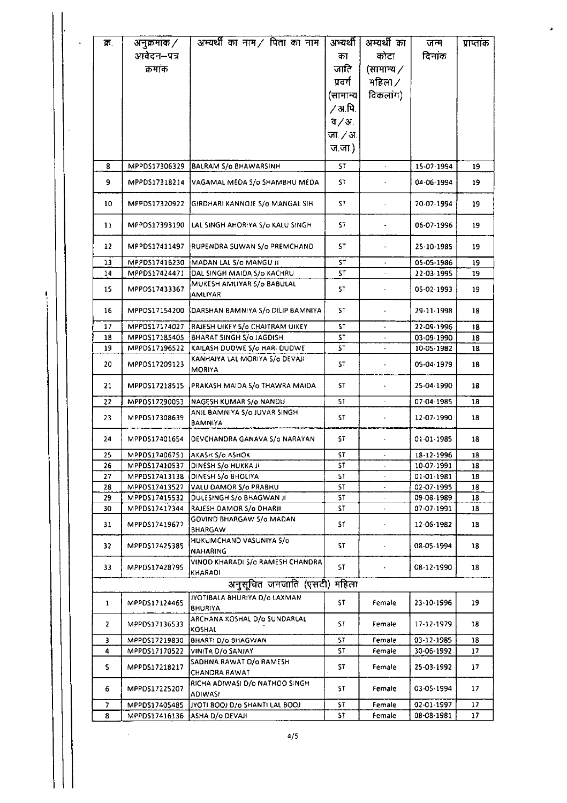| ক.       | अनुक्रमांक $\times$            | अभ्यर्थी का नाम $\prime$ पिता का नाम                 | अभ्यर्थी      | अभ्यर्थी का         | जन्म                     | प्राप्तांक |
|----------|--------------------------------|------------------------------------------------------|---------------|---------------------|--------------------------|------------|
|          | आवेदन–पत्र                     |                                                      | का            | कोटा                | दिनाक                    |            |
|          | क्रमांक                        |                                                      | जाति          | (सामान्य $\angle$   |                          |            |
|          |                                |                                                      | प्रवर्ग       | महिला /             |                          |            |
|          |                                |                                                      |               |                     |                          |            |
|          |                                |                                                      | (सामान्य      | विकलांग)            |                          |            |
|          |                                |                                                      | ∕ अ.पि.       |                     |                          |            |
|          |                                |                                                      | $\frac{1}{2}$ |                     |                          |            |
|          |                                |                                                      | जा. ∕ अ.      |                     |                          |            |
|          |                                |                                                      | ज.जा.)        |                     |                          |            |
| 8        | MPPD\$17306329                 | <b>BALRAM S/o BHAWARSINH</b>                         | ST            |                     | 15-07-1994               | 19         |
| 9        | MPPDS17318214                  | VAGAMAL MEDA S/o SHAMBHU MEDA                        | ST            |                     | 04-06-1994               | 19         |
| 10       | MPPDS17320922                  | GIRDHARI KANNOJE 5/0 MANGAL SIH                      | ST            |                     | 20-07-1994               | 19         |
| 11       | MPPDS17393190                  | LAL SINGH AHORIYA S/o KALU SINGH                     | ST            |                     | 06-07-1996               | 19         |
|          |                                |                                                      |               |                     |                          |            |
| 12       | MPPDS17411497                  | RUPENDRA SUWAN 5/0 PREMCHAND                         | ST            |                     | 25-10-1985               | 19         |
| 13<br>14 | MPPDS17416230<br>MPPDS17424471 | MADAN LAL S/o MANGU JI<br>DAL SINGH MAIDA S/o KACHRU | SΤ<br>ST      | $\bullet$           | 05-05-1986<br>22-03-1995 | 19<br>19   |
|          |                                | MUKESH AMLIYAR S/o BABULAL                           |               |                     |                          |            |
| 15       | MPPDS17433367                  | <b>AMLIYAR</b>                                       | 51            |                     | 05-02-1993               | 19         |
| 16       | MPPOS17154200                  | DARSHAN BAMNIYA S/O DILIP BAMNIYA                    | SΤ            |                     | 29-11-1998               | 18         |
| 17       | MPPDS17174027                  | RAJESH UIKEY S/o CHAITRAM UIKEY                      | 5T            |                     | 22-09-1996               | 18         |
| 18       | MPPDS17185405                  | BHARAT SINGH S/o JAGDISH                             | <b>ST</b>     |                     | 03-09-1990               | 18         |
| 19       | MPPDS17196522                  | KAILASH DUDWE S/o HARI DUDWE                         | 5T            |                     | 10-05-1982               | 18         |
| 20       | MPPDS17209123                  | KANHAIYA LAL MORIYA S/o DEVAJI<br>MORIYA             | 57            |                     | 05-04-1979               | 18         |
| 21       | MPPDS17218515                  | PRAKASH MAIDA S/o THAWRA MAIDA                       | ST            | $\hat{\phantom{a}}$ | 25-04-1990               | 18         |
| 22       | MPPDS17290053                  | NAGESH KUMAR S/o NANDU                               | ST            |                     | 07-04-1985               | 18         |
| 23       | MPPDS17308639                  | ANIL BAMNIYA S/o JUVAR SINGH<br><b>BAMNIYA</b>       | ST            |                     | 12-07-1990               | 18         |
| 24       | MPPDS17401654                  | DEVCHANDRA GANAVA S/o NARAYAN                        | SΤ            |                     | 01-01-1985               | 18         |
| 25       | MPPDS17406751                  | <b>JAKASH S/o ASHOK</b>                              | SΤ            |                     | 18-12-1996               | 18         |
| 26       | MPPDS17410537                  | DINESH S/o HUKKA JI                                  | 5T            |                     | 10-07-1991               | 18         |
| 27       | MPPDS17413138                  | <b>DINESH S/O BHOLIYA</b>                            | SΤ            |                     | 01-01-1981               | 18         |
| 28       | MPP0S17413527                  | VALU DAMOR S/o PRABHU                                | ST            |                     | 02-07-1995               | 18         |
| 29       | MPPDS17415532                  | DULESINGH S/o BHAGWAN JI                             | ST            |                     | 09-08-1989               | 18         |
| 30       | MPPDS17417344                  | RAJESH DAMOR S/o DHARJI                              | ST            | $\bullet$           | 07-07-1991               | 18         |
| 31       | MPPDS17419677                  | GOVIND BHARGAW S/o MADAN<br>BHARGAW                  | S٢            |                     | 12-06-1982               | 18         |
| 32       | MPPDS17425385                  | HUKUMCHAND VASUNIYA S/a<br>NAHARING                  | ST            | $\hat{\phantom{a}}$ | 08-05-1994               | 18         |
| 33.      | MPPDS17428795                  | VINOD KHARADI S/o RAMESH CHANDRA<br>KHARADI          | ST.           |                     | 08-12-1990               | 18         |
|          |                                | अनुसूचित जनजाति (एसटी)                               | महिला         |                     |                          |            |
|          |                                | JYOTIBALA BHURIYA D/o LAXMAN                         |               |                     |                          |            |
| 1        | MPPDS17124465                  | BHURIYA                                              | SΤ            | Female              | 23-10-1996               | 19         |
| 2        | MPPDS17136533                  | ARCHANA KOSHAL D/o SUNDARLAL<br>KOSHAL               | ST            | Female              | 17-12-1979               | 18         |
| 3        | MPPDS17219830                  | BHARTI D/o BHAGWAN                                   | SТ            | Female              | 03-12-1985               | 18         |
| 4        | MPPD517170522                  | VINITA D/o SANJAY                                    | SТ            | Female              | 30-06-1992               | 17         |
| s        | MPPDS17218217                  | SADHNA RAWAT D/o RAMESH<br><b>CHANDRA RAWAT</b>      | S٢            | Female              | 25-03-1992               | 17         |
| 6        | MPPD517225207                  | RICHA ADIWASI D/o NATHOO SINGH<br><b>ADIWASI</b>     | SΤ            | Female              | 03-05-1994               | 17.        |
| 7        | MPPDS17405485                  | JYOTI 800J D/o SHANTI LAL BOOJ                       | ST            | Female              | 02-01-1997               | 17         |
| 8        | MPPDS17416136                  | ASHA D/o DEVAJI                                      | ST            | Female              | 08-08-1981               | 17         |

ţ

٠,

 $4/5$